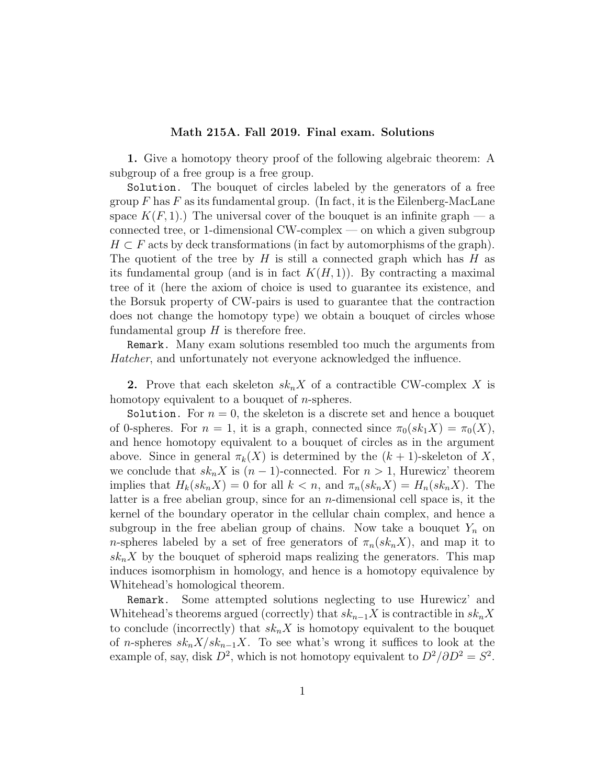## Math 215A. Fall 2019. Final exam. Solutions

1. Give a homotopy theory proof of the following algebraic theorem: A subgroup of a free group is a free group.

Solution. The bouquet of circles labeled by the generators of a free group  $F$  has  $F$  as its fundamental group. (In fact, it is the Eilenberg-MacLane space  $K(F, 1)$ .) The universal cover of the bouquet is an infinite graph — a connected tree, or 1-dimensional CW-complex — on which a given subgroup  $H \subset F$  acts by deck transformations (in fact by automorphisms of the graph). The quotient of the tree by  $H$  is still a connected graph which has  $H$  as its fundamental group (and is in fact  $K(H, 1)$ ). By contracting a maximal tree of it (here the axiom of choice is used to guarantee its existence, and the Borsuk property of CW-pairs is used to guarantee that the contraction does not change the homotopy type) we obtain a bouquet of circles whose fundamental group  $H$  is therefore free.

Remark. Many exam solutions resembled too much the arguments from Hatcher, and unfortunately not everyone acknowledged the influence.

**2.** Prove that each skeleton  $sk_nX$  of a contractible CW-complex X is homotopy equivalent to a bouquet of *n*-spheres.

Solution. For  $n = 0$ , the skeleton is a discrete set and hence a bouquet of 0-spheres. For  $n = 1$ , it is a graph, connected since  $\pi_0(s k_1 X) = \pi_0(X)$ , and hence homotopy equivalent to a bouquet of circles as in the argument above. Since in general  $\pi_k(X)$  is determined by the  $(k+1)$ -skeleton of X, we conclude that  $sk_n X$  is  $(n-1)$ -connected. For  $n > 1$ , Hurewicz' theorem implies that  $H_k(sk_nX) = 0$  for all  $k < n$ , and  $\pi_n(sk_nX) = H_n(sk_nX)$ . The latter is a free abelian group, since for an  $n$ -dimensional cell space is, it the kernel of the boundary operator in the cellular chain complex, and hence a subgroup in the free abelian group of chains. Now take a bouquet  $Y_n$  on *n*-spheres labeled by a set of free generators of  $\pi_n(s k_n X)$ , and map it to  $sk_nX$  by the bouquet of spheroid maps realizing the generators. This map induces isomorphism in homology, and hence is a homotopy equivalence by Whitehead's homological theorem.

Remark. Some attempted solutions neglecting to use Hurewicz' and Whitehead's theorems argued (correctly) that  $sk_{n-1}X$  is contractible in  $sk_nX$ to conclude (incorrectly) that  $sk_n X$  is homotopy equivalent to the bouquet of n-spheres  $sk_n X / sk_{n-1} X$ . To see what's wrong it suffices to look at the example of, say, disk  $D^2$ , which is not homotopy equivalent to  $D^2/\partial D^2 = S^2$ .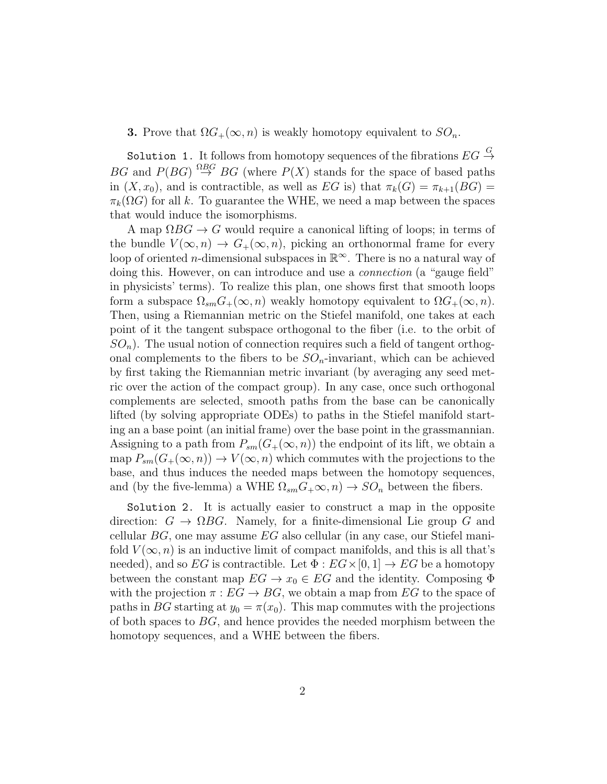**3.** Prove that  $\Omega G_+(\infty, n)$  is weakly homotopy equivalent to  $SO_n$ .

Solution 1. It follows from homotopy sequences of the fibrations  $EG \stackrel{G}{\rightarrow}$ BG and  $P(BG) \stackrel{\Omega BG}{\rightarrow} BG$  (where  $P(X)$  stands for the space of based paths in  $(X, x_0)$ , and is contractible, as well as EG is) that  $\pi_k(G) = \pi_{k+1}(BG)$  $\pi_k(\Omega G)$  for all k. To guarantee the WHE, we need a map between the spaces that would induce the isomorphisms.

A map  $\Omega BG \to G$  would require a canonical lifting of loops; in terms of the bundle  $V(\infty,n) \to G_+(\infty,n)$ , picking an orthonormal frame for every loop of oriented *n*-dimensional subspaces in  $\mathbb{R}^{\infty}$ . There is no a natural way of doing this. However, on can introduce and use a *connection* (a "gauge field" in physicists' terms). To realize this plan, one shows first that smooth loops form a subspace  $\Omega_{sm}G_{+}(\infty,n)$  weakly homotopy equivalent to  $\Omega G_{+}(\infty,n)$ . Then, using a Riemannian metric on the Stiefel manifold, one takes at each point of it the tangent subspace orthogonal to the fiber (i.e. to the orbit of  $SO_n$ ). The usual notion of connection requires such a field of tangent orthogonal complements to the fibers to be  $SO_n$ -invariant, which can be achieved by first taking the Riemannian metric invariant (by averaging any seed metric over the action of the compact group). In any case, once such orthogonal complements are selected, smooth paths from the base can be canonically lifted (by solving appropriate ODEs) to paths in the Stiefel manifold starting an a base point (an initial frame) over the base point in the grassmannian. Assigning to a path from  $P_{sm}(G_+(\infty, n))$  the endpoint of its lift, we obtain a map  $P_{sm}(G_{+}(\infty,n)) \to V(\infty,n)$  which commutes with the projections to the base, and thus induces the needed maps between the homotopy sequences, and (by the five-lemma) a WHE  $\Omega_{sm}G_{+}\infty$ ,  $n) \to SO_n$  between the fibers.

Solution 2. It is actually easier to construct a map in the opposite direction:  $G \to \Omega BG$ . Namely, for a finite-dimensional Lie group G and cellular  $BG$ , one may assume  $EG$  also cellular (in any case, our Stiefel manifold  $V(\infty, n)$  is an inductive limit of compact manifolds, and this is all that's needed), and so EG is contractible. Let  $\Phi : EG \times [0,1] \to EG$  be a homotopy between the constant map  $EG \to x_0 \in EG$  and the identity. Composing  $\Phi$ with the projection  $\pi : EG \to BG$ , we obtain a map from EG to the space of paths in BG starting at  $y_0 = \pi(x_0)$ . This map commutes with the projections of both spaces to  $BG$ , and hence provides the needed morphism between the homotopy sequences, and a WHE between the fibers.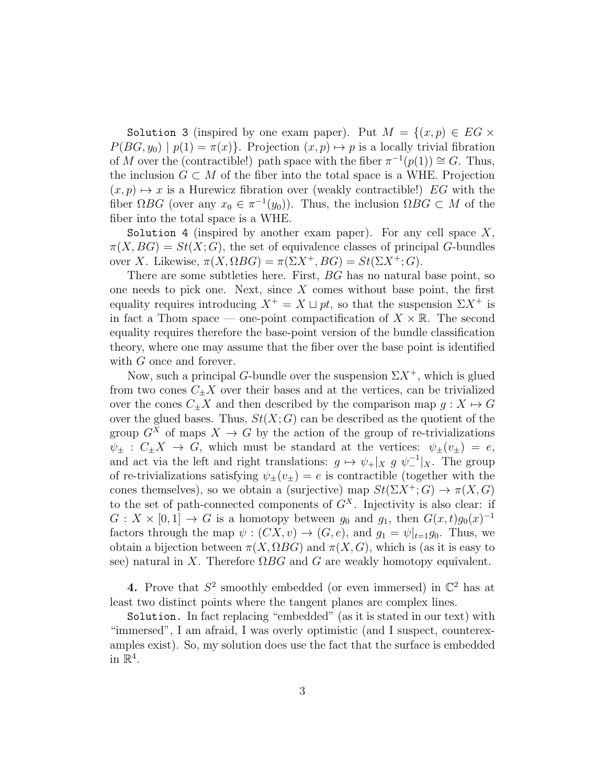Solution 3 (inspired by one exam paper). Put  $M = \{(x, p) \in EG \times$  $P(BG, y_0) | p(1) = \pi(x)$ . Projection  $(x, p) \mapsto p$  is a locally trivial fibration of M over the (contractible!) path space with the fiber  $\pi^{-1}(p(1)) \cong G$ . Thus, the inclusion  $G \subset M$  of the fiber into the total space is a WHE. Projection  $(x, p) \mapsto x$  is a Hurewicz fibration over (weakly contractible!) EG with the fiber  $\Omega BG$  (over any  $x_0 \in \pi^{-1}(y_0)$ ). Thus, the inclusion  $\Omega BG \subset M$  of the fiber into the total space is a WHE.

Solution 4 (inspired by another exam paper). For any cell space  $X$ ,  $\pi(X, BG) = St(X; G)$ , the set of equivalence classes of principal G-bundles over X. Likewise,  $\pi(X, \Omega BG) = \pi(\Sigma X^+, BG) = St(\Sigma X^+; G)$ .

There are some subtleties here. First, BG has no natural base point, so one needs to pick one. Next, since  $X$  comes without base point, the first equality requires introducing  $X^+ = X \sqcup pt$ , so that the suspension  $\Sigma X^+$  is in fact a Thom space — one-point compactification of  $X \times \mathbb{R}$ . The second equality requires therefore the base-point version of the bundle classification theory, where one may assume that the fiber over the base point is identified with G once and forever.

Now, such a principal G-bundle over the suspension  $\Sigma X^+$ , which is glued from two cones  $C_{\pm}X$  over their bases and at the vertices, can be trivialized over the cones  $C_{\pm}X$  and then described by the comparison map  $g: X \mapsto G$ over the glued bases. Thus,  $St(X; G)$  can be described as the quotient of the group  $G^X$  of maps  $X \to G$  by the action of the group of re-trivializations  $\psi_+ : C_+X \to G$ , which must be standard at the vertices:  $\psi_+(v_+) = e$ , and act via the left and right translations:  $g \mapsto \psi_+|_X g \psi_-^{-1}|_X$ . The group of re-trivializations satisfying  $\psi_+(v_+) = e$  is contractible (together with the cones themselves), so we obtain a (surjective) map  $St(\Sigma X^+; G) \to \pi(X, G)$ to the set of path-connected components of  $G<sup>X</sup>$ . Injectivity is also clear: if  $G: X \times [0,1] \to G$  is a homotopy between  $g_0$  and  $g_1$ , then  $G(x,t)g_0(x)^{-1}$ factors through the map  $\psi : (CX, v) \to (G, e)$ , and  $g_1 = \psi|_{t=1}g_0$ . Thus, we obtain a bijection between  $\pi(X, \Omega BG)$  and  $\pi(X, G)$ , which is (as it is easy to see) natural in X. Therefore  $\Omega BG$  and G are weakly homotopy equivalent.

4. Prove that  $S^2$  smoothly embedded (or even immersed) in  $\mathbb{C}^2$  has at least two distinct points where the tangent planes are complex lines.

Solution. In fact replacing "embedded" (as it is stated in our text) with "immersed", I am afraid, I was overly optimistic (and I suspect, counterexamples exist). So, my solution does use the fact that the surface is embedded in  $\mathbb{R}^4$ .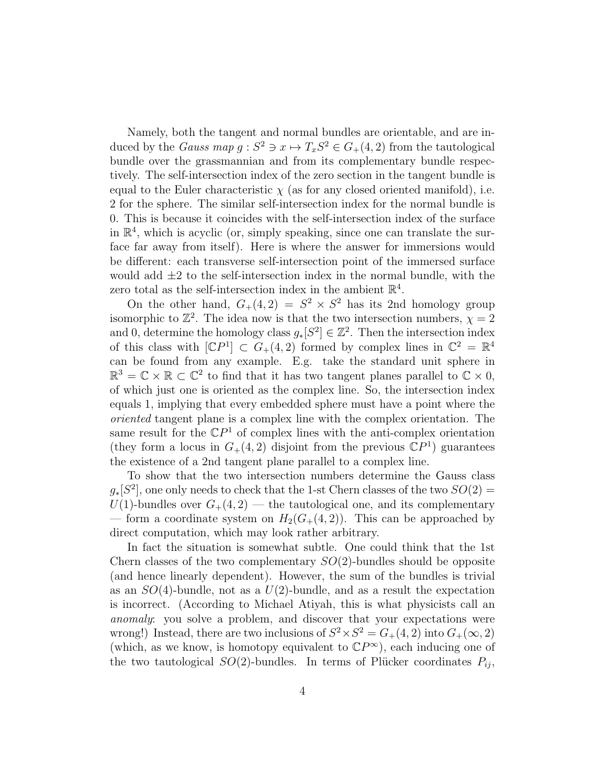Namely, both the tangent and normal bundles are orientable, and are induced by the *Gauss map*  $g: S^2 \ni x \mapsto T_xS^2 \in G_+(4, 2)$  from the tautological bundle over the grassmannian and from its complementary bundle respectively. The self-intersection index of the zero section in the tangent bundle is equal to the Euler characteristic  $\chi$  (as for any closed oriented manifold), i.e. 2 for the sphere. The similar self-intersection index for the normal bundle is 0. This is because it coincides with the self-intersection index of the surface in  $\mathbb{R}^4$ , which is acyclic (or, simply speaking, since one can translate the surface far away from itself). Here is where the answer for immersions would be different: each transverse self-intersection point of the immersed surface would add  $\pm 2$  to the self-intersection index in the normal bundle, with the zero total as the self-intersection index in the ambient  $\mathbb{R}^4$ .

On the other hand,  $G_+(4,2) = S^2 \times S^2$  has its 2nd homology group isomorphic to  $\mathbb{Z}^2$ . The idea now is that the two intersection numbers,  $\chi = 2$ and 0, determine the homology class  $g_*[S^2] \in \mathbb{Z}^2$ . Then the intersection index of this class with  $[\mathbb{C}P^1] \subset G_+(4,2)$  formed by complex lines in  $\mathbb{C}^2 = \mathbb{R}^4$ can be found from any example. E.g. take the standard unit sphere in  $\mathbb{R}^3 = \mathbb{C} \times \mathbb{R} \subset \mathbb{C}^2$  to find that it has two tangent planes parallel to  $\mathbb{C} \times 0$ , of which just one is oriented as the complex line. So, the intersection index equals 1, implying that every embedded sphere must have a point where the oriented tangent plane is a complex line with the complex orientation. The same result for the  $\mathbb{C}P^1$  of complex lines with the anti-complex orientation (they form a locus in  $G_{+}(4,2)$  disjoint from the previous  $\mathbb{C}P^{1}$ ) guarantees the existence of a 2nd tangent plane parallel to a complex line.

To show that the two intersection numbers determine the Gauss class  $g_*[S^2]$ , one only needs to check that the 1-st Chern classes of the two  $SO(2)$  =  $U(1)$ -bundles over  $G_{+}(4,2)$  — the tautological one, and its complementary — form a coordinate system on  $H_2(G_+(4, 2))$ . This can be approached by direct computation, which may look rather arbitrary.

In fact the situation is somewhat subtle. One could think that the 1st Chern classes of the two complementary  $SO(2)$ -bundles should be opposite (and hence linearly dependent). However, the sum of the bundles is trivial as an  $SO(4)$ -bundle, not as a  $U(2)$ -bundle, and as a result the expectation is incorrect. (According to Michael Atiyah, this is what physicists call an anomaly: you solve a problem, and discover that your expectations were wrong!) Instead, there are two inclusions of  $S^2 \times S^2 = G_+(4, 2)$  into  $G_+(\infty, 2)$ (which, as we know, is homotopy equivalent to  $\mathbb{C}P^{\infty}$ ), each inducing one of the two tautological  $SO(2)$ -bundles. In terms of Plücker coordinates  $P_{ij}$ ,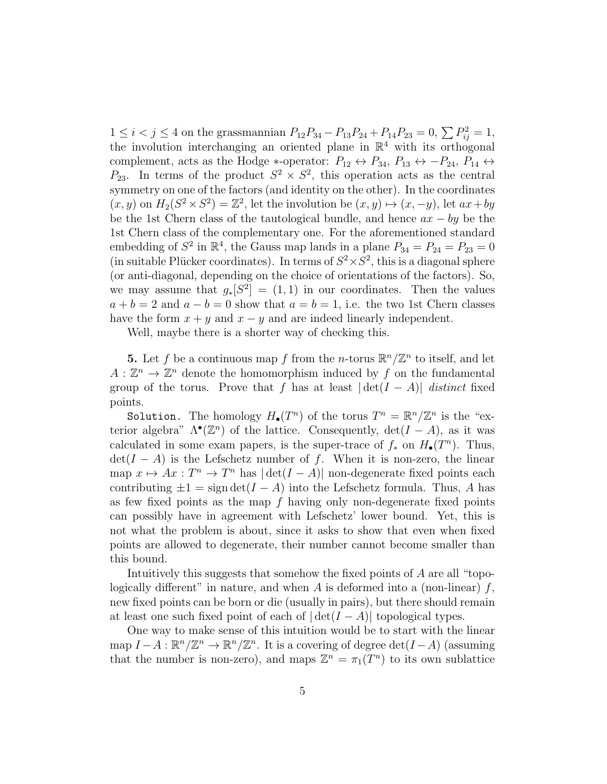$1 \leq i < j \leq 4$  on the grassmannian  $P_{12}P_{34} - P_{13}P_{24} + P_{14}P_{23} = 0, \sum P_{ij}^2 = 1,$ the involution interchanging an oriented plane in  $\mathbb{R}^4$  with its orthogonal complement, acts as the Hodge ∗-operator:  $P_{12} \leftrightarrow P_{34}$ ,  $P_{13} \leftrightarrow -P_{24}$ ,  $P_{14} \leftrightarrow$  $P_{23}$ . In terms of the product  $S^2 \times S^2$ , this operation acts as the central symmetry on one of the factors (and identity on the other). In the coordinates  $(x, y)$  on  $H_2(S^2 \times S^2) = \mathbb{Z}^2$ , let the involution be  $(x, y) \mapsto (x, -y)$ , let  $ax + by$ be the 1st Chern class of the tautological bundle, and hence  $ax - by$  be the 1st Chern class of the complementary one. For the aforementioned standard embedding of  $S^2$  in  $\mathbb{R}^4$ , the Gauss map lands in a plane  $P_{34} = P_{24} = P_{23} = 0$ (in suitable Plücker coordinates). In terms of  $S^2 \times S^2$ , this is a diagonal sphere (or anti-diagonal, depending on the choice of orientations of the factors). So, we may assume that  $g_*[S^2] = (1,1)$  in our coordinates. Then the values  $a + b = 2$  and  $a - b = 0$  show that  $a = b = 1$ , i.e. the two 1st Chern classes have the form  $x + y$  and  $x - y$  and are indeed linearly independent.

Well, maybe there is a shorter way of checking this.

**5.** Let f be a continuous map f from the *n*-torus  $\mathbb{R}^n/\mathbb{Z}^n$  to itself, and let  $A: \mathbb{Z}^n \to \mathbb{Z}^n$  denote the homomorphism induced by f on the fundamental group of the torus. Prove that f has at least  $|\det(I - A)|$  distinct fixed points.

Solution. The homology  $H_{\bullet}(T^n)$  of the torus  $T^n = \mathbb{R}^n/\mathbb{Z}^n$  is the "exterior algebra"  $\Lambda^{\bullet}(\mathbb{Z}^n)$  of the lattice. Consequently,  $\det(I - A)$ , as it was calculated in some exam papers, is the super-trace of  $f_*$  on  $H_{\bullet}(T^n)$ . Thus,  $\det(I - A)$  is the Lefschetz number of f. When it is non-zero, the linear map  $x \mapsto Ax : T^n \to T^n$  has  $|\det(I - A)|$  non-degenerate fixed points each contributing  $\pm 1 = \text{sign} \det(I - A)$  into the Lefschetz formula. Thus, A has as few fixed points as the map  $f$  having only non-degenerate fixed points can possibly have in agreement with Lefschetz' lower bound. Yet, this is not what the problem is about, since it asks to show that even when fixed points are allowed to degenerate, their number cannot become smaller than this bound.

Intuitively this suggests that somehow the fixed points of A are all "topologically different" in nature, and when  $A$  is deformed into a (non-linear)  $f$ , new fixed points can be born or die (usually in pairs), but there should remain at least one such fixed point of each of  $|\det(I - A)|$  topological types.

One way to make sense of this intuition would be to start with the linear map  $I - A : \mathbb{R}^n/\mathbb{Z}^n \to \mathbb{R}^n/\mathbb{Z}^n$ . It is a covering of degree  $\det(I - A)$  (assuming that the number is non-zero), and maps  $\mathbb{Z}^n = \pi_1(T^n)$  to its own sublattice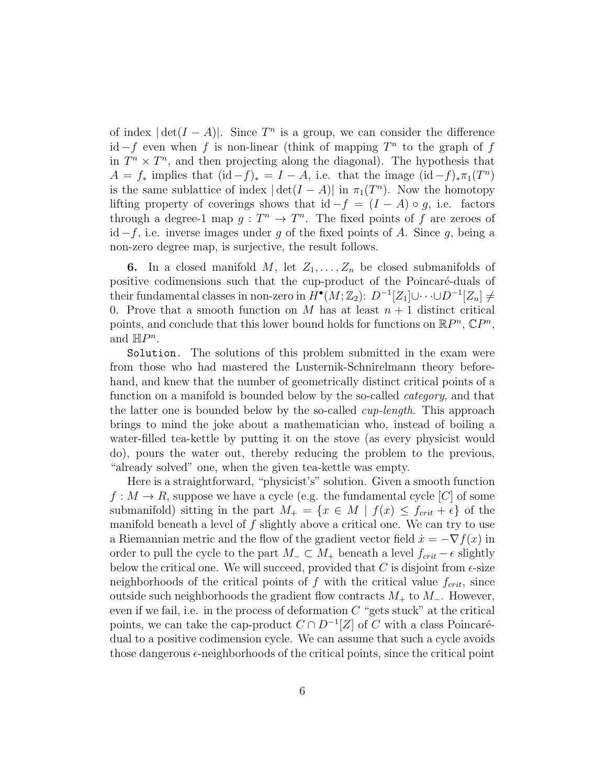of index  $|\det(I - A)|$ . Since  $T^n$  is a group, we can consider the difference id  $-f$  even when f is non-linear (think of mapping  $T^n$  to the graph of f in  $T^n \times T^n$ , and then projecting along the diagonal). The hypothesis that  $A = f_*$  implies that  $(id - f)_* = I - A$ , i.e. that the image  $(id - f)_* \pi_1(T^n)$ is the same sublattice of index  $|\det(I - A)|$  in  $\pi_1(T^n)$ . Now the homotopy lifting property of coverings shows that id  $-f = (I - A) \circ g$ , i.e. factors through a degree-1 map  $g: T^n \to T^n$ . The fixed points of f are zeroes of id  $-f$ , i.e. inverse images under g of the fixed points of A. Since g, being a non-zero degree map, is surjective, the result follows.

6. In a closed manifold M, let  $Z_1, \ldots, Z_n$  be closed submanifolds of positive codimensions such that the cup-product of the Poincaré-duals of their fundamental classes in non-zero in  $\overline{H}^\bullet(M;\mathbb{Z}_2)$ :  $D^{-1}[Z_1]\cup\cdots\cup D^{-1}[Z_n]\neq 0$ 0. Prove that a smooth function on M has at least  $n + 1$  distinct critical points, and conclude that this lower bound holds for functions on  $\mathbb{R}P^n$ ,  $\mathbb{C}P^n$ , and  $\mathbb{H}P^n$ .

Solution. The solutions of this problem submitted in the exam were from those who had mastered the Lusternik-Schnirelmann theory beforehand, and knew that the number of geometrically distinct critical points of a function on a manifold is bounded below by the so-called *category*, and that the latter one is bounded below by the so-called *cup-length*. This approach brings to mind the joke about a mathematician who, instead of boiling a water-filled tea-kettle by putting it on the stove (as every physicist would do), pours the water out, thereby reducing the problem to the previous, "already solved" one, when the given tea-kettle was empty.

Here is a straightforward, "physicist's" solution. Given a smooth function  $f: M \to R$ , suppose we have a cycle (e.g. the fundamental cycle [C] of some submanifold) sitting in the part  $M_{+} = \{x \in M \mid f(x) \leq f_{crit} + \epsilon\}$  of the manifold beneath a level of  $f$  slightly above a critical one. We can try to use a Riemannian metric and the flow of the gradient vector field  $\dot{x} = -\nabla f(x)$  in order to pull the cycle to the part  $M_-\subset M_+$  beneath a level  $f_{crit}-\epsilon$  slightly below the critical one. We will succeed, provided that  $C$  is disjoint from  $\epsilon$ -size neighborhoods of the critical points of f with the critical value  $f_{crit}$ , since outside such neighborhoods the gradient flow contracts  $M_+$  to  $M_-$ . However, even if we fail, i.e. in the process of deformation  $C$  "gets stuck" at the critical points, we can take the cap-product  $C \cap D^{-1}[Z]$  of C with a class Poincarédual to a positive codimension cycle. We can assume that such a cycle avoids those dangerous  $\epsilon$ -neighborhoods of the critical points, since the critical point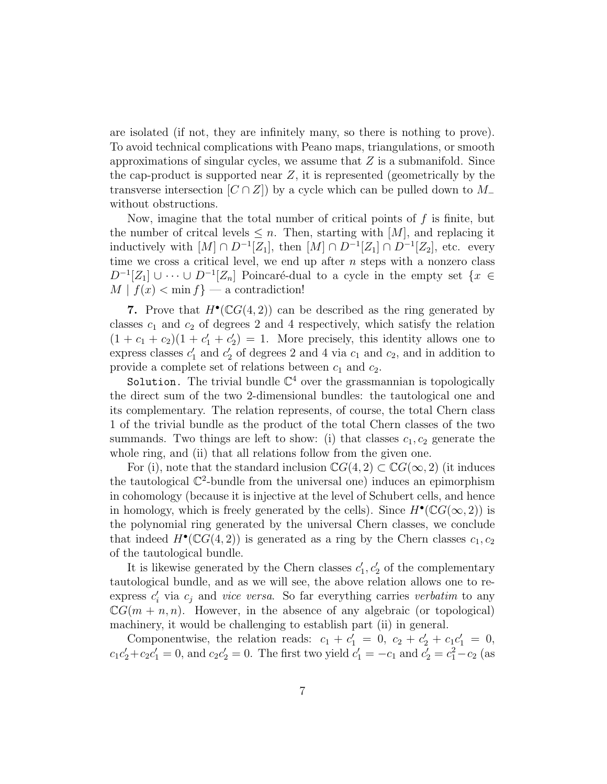are isolated (if not, they are infinitely many, so there is nothing to prove). To avoid technical complications with Peano maps, triangulations, or smooth approximations of singular cycles, we assume that  $Z$  is a submanifold. Since the cap-product is supported near  $Z$ , it is represented (geometrically by the transverse intersection  $[C \cap Z]$  by a cycle which can be pulled down to M\_ without obstructions.

Now, imagine that the total number of critical points of  $f$  is finite, but the number of critcal levels  $\leq n$ . Then, starting with [M], and replacing it inductively with  $[M] \cap D^{-1}[Z_1]$ , then  $[M] \cap D^{-1}[Z_1] \cap D^{-1}[Z_2]$ , etc. every time we cross a critical level, we end up after  $n$  steps with a nonzero class  $D^{-1}[Z_1] \cup \cdots \cup D^{-1}[Z_n]$  Poincaré-dual to a cycle in the empty set  $\{x \in$  $M | f(x) < \min f$  — a contradiction!

7. Prove that  $H^{\bullet}(\mathbb{C}G(4,2))$  can be described as the ring generated by classes  $c_1$  and  $c_2$  of degrees 2 and 4 respectively, which satisfy the relation  $(1 + c_1 + c_2)(1 + c'_1 + c'_2)$  $\mathcal{L}_2$  = 1. More precisely, this identity allows one to  $\overset{\cdot}{\text{express classes}}$   $c_1'$  $'_{1}$  and  $c'_{2}$  $\mathcal{L}_2'$  of degrees 2 and 4 via  $c_1$  and  $c_2$ , and in addition to provide a complete set of relations between  $c_1$  and  $c_2$ .

Solution. The trivial bundle  $\mathbb{C}^4$  over the grassmannian is topologically the direct sum of the two 2-dimensional bundles: the tautological one and its complementary. The relation represents, of course, the total Chern class 1 of the trivial bundle as the product of the total Chern classes of the two summands. Two things are left to show: (i) that classes  $c_1, c_2$  generate the whole ring, and (ii) that all relations follow from the given one.

For (i), note that the standard inclusion  $\mathbb{C}G(4,2) \subset \mathbb{C}G(\infty,2)$  (it induces the tautological  $\mathbb{C}^2$ -bundle from the universal one) induces an epimorphism in cohomology (because it is injective at the level of Schubert cells, and hence in homology, which is freely generated by the cells). Since  $H^{\bullet}(\mathbb{C}G(\infty,2))$  is the polynomial ring generated by the universal Chern classes, we conclude that indeed  $H^{\bullet}(\mathbb{C}G(4,2))$  is generated as a ring by the Chern classes  $c_1, c_2$ of the tautological bundle.

It is likewise generated by the Chern classes  $c_1'$  $\zeta_1', c_2'$  of the complementary tautological bundle, and as we will see, the above relation allows one to reexpress  $c'_i$  via  $c_j$  and vice versa. So far everything carries verbatim to any  $\mathbb{C}G(m + n, n)$ . However, in the absence of any algebraic (or topological) machinery, it would be challenging to establish part (ii) in general.

Componentwise, the relation reads:  $c_1 + c_1' = 0$ ,  $c_2 + c_2' + c_1 c_1' = 0$ ,  $c_1c'_2 + c_2c'_1 = 0$ , and  $c_2c'_2 = 0$ . The first two yield  $c'_1 = -c_1$  and  $c'_2 = c_1^2 - c_2$  (as